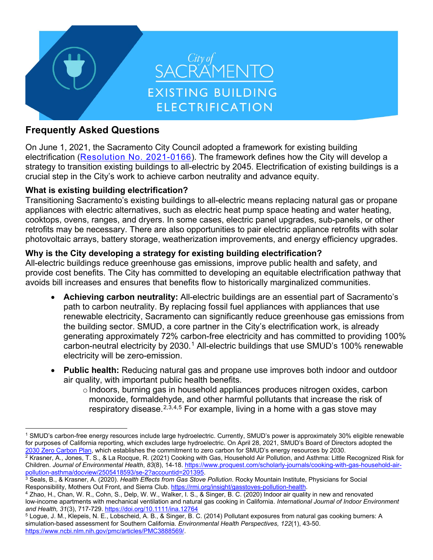

# **Frequently Asked Questions**

On June 1, 2021, the Sacramento City Council adopted a framework for existing building electrification (Resolution No. 2021-0166). The framework defines how the City will develop a strategy to transition existing buildings to all-electric by 2045. Electrification of existing buildings is a crucial step in the City's work to achieve carbon neutrality and advance equity.

# **What is existing building electrification?**

Transitioning Sacramento's existing buildings to all-electric means replacing natural gas or propane appliances with electric alternatives, such as electric heat pump space heating and water heating, cooktops, ovens, ranges, and dryers. In some cases, electric panel upgrades, sub-panels, or other retrofits may be necessary. There are also opportunities to pair electric appliance retrofits with solar photovoltaic arrays, battery storage, weatherization improvements, and energy efficiency upgrades.

# **Why is the City developing a strategy for existing building electrification?**

All-electric buildings reduce greenhouse gas emissions, improve public health and safety, and provide cost benefits. The City has committed to developing an equitable electrification pathway that avoids bill increases and ensures that benefits flow to historically marginalized communities.

- **Achieving carbon neutrality:** All-electric buildings are an essential part of Sacramento's path to carbon neutrality. By replacing fossil fuel appliances with appliances that use renewable electricity, Sacramento can significantly reduce greenhouse gas emissions from the building sector. SMUD, a core partner in the City's electrification work, is already generating approximately 72% carbon-free electricity and has committed to providing 100% carbon-neutral electricity by 2030.<sup>[1](#page-0-0)</sup> All-electric buildings that use SMUD's 100% renewable electricity will be zero-emission.
- **Public health:** Reducing natural gas and propane use improves both indoor and outdoor air quality, with important public health benefits.
	- o Indoors, burning gas in household appliances produces nitrogen oxides, carbon monoxide, formaldehyde, and other harmful pollutants that increase the risk of respiratory disease. [2,](#page-0-1)[3,](#page-0-2)[4](#page-0-3),[5](#page-0-4) For example, living in a home with a gas stove may

<span id="page-0-0"></span><sup>1</sup> SMUD's carbon-free energy resources include large hydroelectric. Currently, SMUD's power is approximately 30% eligible renewable for purposes of California reporting, which excludes large hydroelectric. On April 28, 2021, SMUD's Board of Directors adopted the 2030 Zero Carbon Plan, which establishes the commitment to zero carbon for SMUD's energy resources by 2030.

<span id="page-0-1"></span><sup>2</sup> Krasner, A., Jones, T. S., & La Rocque, R. (2021) Cooking with Gas, Household Air Pollution, and Asthma: Little Recognized Risk for Children. *Journal of Environmental Health*, *83*(8), 14-18. https://www.proquest.com/scholarly-journals/cooking-with-gas-household-airpollution-asthma/docview/2505418593/se-2?accountid=201395.

<span id="page-0-2"></span><sup>3</sup> Seals, B., & Krasner, A. (2020). *Health Effects from Gas Stove Pollution*. Rocky Mountain Institute, Physicians for Social Responsibility, Mothers Out Front, and Sierra Club. https://rmi.org/insight/gasstoves-pollution-health.

<span id="page-0-3"></span><sup>4</sup> Zhao, H., Chan, W. R., Cohn, S., Delp, W. W., Walker, I. S., & Singer, B. C. (2020) Indoor air quality in new and renovated low-income apartments with mechanical ventilation and natural gas cooking in California. *International Journal of Indoor Environment and Health, 31*(3), 717-729. https://doi.org/10.1111/ina.12764

<span id="page-0-4"></span><sup>5</sup> Logue, J. M., Klepeis, N. E., Lobscheid, A. B., & Singer, B. C. (2014) Pollutant exposures from natural gas cooking burners: A simulation-based assessment for Southern California. *Environmental Health Perspectives, 122*(1), 43-50. https://www.ncbi.nlm.nih.gov/pmc/articles/PMC3888569/.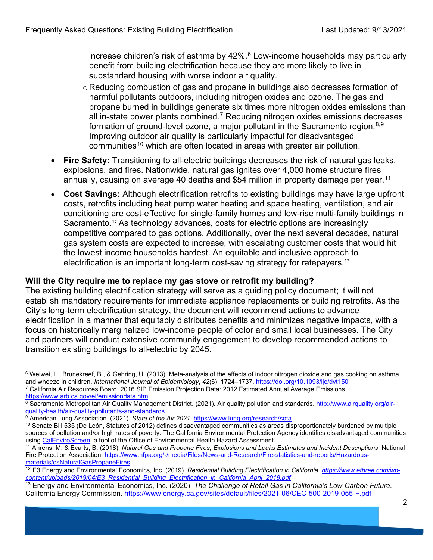increase children's risk of asthma by 42%.<sup>[6](#page-1-0)</sup> Low-income households may particularly benefit from building electrification because they are more likely to live in substandard housing with worse indoor air quality.

- o Reducing combustion of gas and propane in buildings also decreases formation of harmful pollutants outdoors, including nitrogen oxides and ozone. The gas and propane burned in buildings generate six times more nitrogen oxides emissions than all in-state power plants combined. [7](#page-1-1) Reducing nitrogen oxides emissions decreases formation of ground-level ozone, a major pollutant in the Sacramento region. $^{\rm 8,9}$  $^{\rm 8,9}$  $^{\rm 8,9}$  $^{\rm 8,9}$ Improving outdoor air quality is particularly impactful for disadvantaged communities<sup>[10](#page-1-4)</sup> which are often located in areas with greater air pollution.
- **Fire Safety:** Transitioning to all-electric buildings decreases the risk of natural gas leaks, explosions, and fires. Nationwide, natural gas ignites over 4,000 home structure fires annually, causing on average 40 deaths and \$54 million in property damage per year.<sup>[11](#page-1-5)</sup>
- **Cost Savings:** Although electrification retrofits to existing buildings may have large upfront costs, retrofits including heat pump water heating and space heating, ventilation, and air conditioning are cost-effective for single-family homes and low-rise multi-family buildings in Sacramento.<sup>[12](#page-1-6)</sup> As technology advances, costs for electric options are increasingly competitive compared to gas options. Additionally, over the next several decades, natural gas system costs are expected to increase, with escalating customer costs that would hit the lowest income households hardest. An equitable and inclusive approach to electrification is an important long-term cost-saving strategy for ratepayers. [13](#page-1-7)

#### **Will the City require me to replace my gas stove or retrofit my building?**

The existing building electrification strategy will serve as a guiding policy document; it will not establish mandatory requirements for immediate appliance replacements or building retrofits. As the City's long-term electrification strategy, the document will recommend actions to advance electrification in a manner that equitably distributes benefits and minimizes negative impacts, with a focus on historically marginalized low-income people of color and small local businesses. The City and partners will conduct extensive community engagement to develop recommended actions to transition existing buildings to all-electric by 2045.

<span id="page-1-0"></span><sup>6</sup> Weiwei, L., Brunekreef, B., & Gehring, U. (2013). Meta-analysis of the effects of indoor nitrogen dioxide and gas cooking on asthma and wheeze in children. *International Journal of Epidemiology*, *42*(6), 1724–1737.<https://doi.org/10.1093/ije/dyt150>*.* 

<span id="page-1-1"></span><sup>7</sup> California Air Resources Board. 2016 SIP Emission Projection Data: 2012 Estimated Annual Average Emissions. <https://www.arb.ca.gov/ei/emissiondata.htm>

<span id="page-1-2"></span><sup>8</sup> Sacramento Metropolitan Air Quality Management District. (2021). Air quality pollution and standards. [http://www.airquality.org/air](http://www.airquality.org/air-quality-health/air-quality-pollutants-and-standards)[quality-health/air-quality-pollutants-and-standards](http://www.airquality.org/air-quality-health/air-quality-pollutants-and-standards)

<span id="page-1-3"></span><sup>&</sup>lt;sup>9</sup> American Lung Association. (2021). *State of the Air 2021.* <https://www.lung.org/research/sota>

<span id="page-1-4"></span> $10$  Senate Bill 535 (De León, Statutes of 2012) defines disadvantaged communities as areas disproportionately burdened by multiple sources of pollution and/or high rates of poverty. The California Environmental Protection Agency identifies disadvantaged communities using CalEnviroScreen, a tool of the Office of Environmental Health Hazard Assessment.

<span id="page-1-5"></span><sup>&</sup>lt;sup>11</sup> Ahrens, M. & Evarts, B. (2018). Natural Gas and Propane Fires, Explosions and Leaks Estimates and Incident Descriptions. National Fire Protection Association. [https://www.nfpa.org/-/media/Files/News-and-Research/Fire-statistics-and-reports/Hazardous](https://www.nfpa.org/-/media/Files/News-and-Research/Fire-statistics-and-reports/Hazardous-materials/osNaturalGasPropaneFires)[materials/osNaturalGasPropaneFires.](https://www.nfpa.org/-/media/Files/News-and-Research/Fire-statistics-and-reports/Hazardous-materials/osNaturalGasPropaneFires)

<span id="page-1-6"></span><sup>12</sup> E3 Energy and Environmental Economics, Inc. (2019). *Residential Building Electrification in California. [https://www.ethree.com/wp](https://www.ethree.com/wp-content/uploads/2019/04/E3_Residential_Building_Electrification_in_California_April_2019.pdf)[content/uploads/2019/04/E3\\_Residential\\_Building\\_Electrification\\_in\\_California\\_April\\_2019.pdf](https://www.ethree.com/wp-content/uploads/2019/04/E3_Residential_Building_Electrification_in_California_April_2019.pdf)*

<span id="page-1-7"></span><sup>&</sup>lt;sup>13</sup> Energy and Environmental Economics, Inc. (2020). *The Challenge of Retail Gas in California's Low-Carbon Future.* California Energy Commission.<https://www.energy.ca.gov/sites/default/files/2021-06/CEC-500-2019-055-F.pdf>